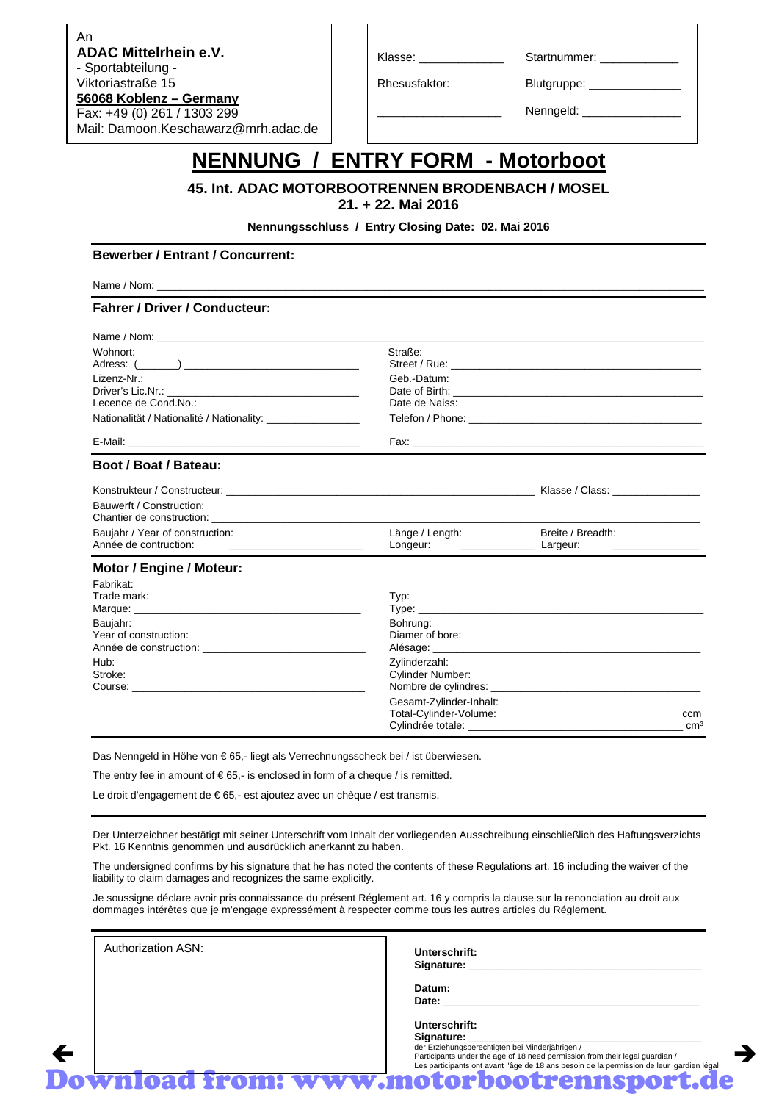Mail: Damoon.Keschawarz@mrh.adac.de An **ADAC Mittelrhein e.V.** - Sportabteilung - Viktoriastraße 15 **56068 Koblenz – Germany** Fax: +49 (0) 261 / 1303 299

Klasse: \_\_\_\_\_\_\_\_\_\_\_\_\_\_\_\_\_\_\_\_\_\_\_\_\_Startnummer: \_

Rhesusfaktor: Blutgruppe:

Nenngeld:

### **NENNUNG / ENTRY FORM - Motorboot**

#### **45. Int. ADAC MOTORBOOTRENNEN BRODENBACH / MOSEL 21. + 22. Mai 2016**

**Nennungsschluss / Entry Closing Date: 02. Mai 2016** 

#### **Bewerber / Entrant / Concurrent:**

Name / Nom: \_\_\_\_\_\_\_\_\_\_\_\_\_\_\_\_\_\_\_\_\_\_\_\_\_\_\_\_\_\_\_\_\_\_\_\_\_\_\_\_\_\_\_\_\_\_\_\_\_\_\_\_\_\_\_\_\_\_\_\_\_\_\_\_\_\_\_\_\_\_\_\_\_\_\_\_\_\_\_\_\_\_\_\_\_\_\_\_\_\_\_\_\_\_

#### **Fahrer / Driver / Conducteur:**

| Straße:<br>Wohnort:                                                                                                                                                                                                            |                                                                |                                                                                                                                                                                                                               |  |  |
|--------------------------------------------------------------------------------------------------------------------------------------------------------------------------------------------------------------------------------|----------------------------------------------------------------|-------------------------------------------------------------------------------------------------------------------------------------------------------------------------------------------------------------------------------|--|--|
| Lizenz-Nr.:                                                                                                                                                                                                                    | Geb.-Datum:                                                    |                                                                                                                                                                                                                               |  |  |
| Lecence de Cond.No.:                                                                                                                                                                                                           | Date de Naiss:                                                 |                                                                                                                                                                                                                               |  |  |
| Nationalität / Nationalité / Nationality: _________________                                                                                                                                                                    |                                                                |                                                                                                                                                                                                                               |  |  |
|                                                                                                                                                                                                                                |                                                                |                                                                                                                                                                                                                               |  |  |
| Boot / Boat / Bateau:                                                                                                                                                                                                          |                                                                |                                                                                                                                                                                                                               |  |  |
| Konstrukteur / Constructeur: New York New York 1999 New York 1999 New York 1999 New York 1999 New York 1999 New York 1999 New York 1999 New York 1999 New York 1999 New York 1999 New York 1999 New York 1999 New York 1999 Ne |                                                                |                                                                                                                                                                                                                               |  |  |
| Bauwerft / Construction:                                                                                                                                                                                                       |                                                                |                                                                                                                                                                                                                               |  |  |
| Chantier de construction: <b>Example 2018</b>                                                                                                                                                                                  |                                                                |                                                                                                                                                                                                                               |  |  |
| Baujahr / Year of construction:                                                                                                                                                                                                | Länge / Length:<br>Longeur: _________________________ Largeur: | Breite / Breadth:<br><u> 1980 - Andrea Albert III, martin a</u>                                                                                                                                                               |  |  |
|                                                                                                                                                                                                                                |                                                                |                                                                                                                                                                                                                               |  |  |
| Motor / Engine / Moteur:                                                                                                                                                                                                       |                                                                |                                                                                                                                                                                                                               |  |  |
| Fabrikat:                                                                                                                                                                                                                      |                                                                |                                                                                                                                                                                                                               |  |  |
| Trade mark:                                                                                                                                                                                                                    | Typ:                                                           |                                                                                                                                                                                                                               |  |  |
|                                                                                                                                                                                                                                |                                                                | Type: Type: Type: Type: Type: Type: Type: Type: Type: Type: Type: Type: Type: Type: Type: Type: Type: Type: Type: Type: Type: Type: Type: Type: Type: Type: Type: Type: Type: Type: Type: Type: Type: Type: Type: Type: Type: |  |  |
| Baujahr:<br>Year of construction:                                                                                                                                                                                              | Bohrung:<br>Diamer of bore:                                    |                                                                                                                                                                                                                               |  |  |
|                                                                                                                                                                                                                                |                                                                |                                                                                                                                                                                                                               |  |  |
| Hub:                                                                                                                                                                                                                           | Zylinderzahl:                                                  |                                                                                                                                                                                                                               |  |  |
| Stroke:                                                                                                                                                                                                                        | <b>Cylinder Number:</b>                                        |                                                                                                                                                                                                                               |  |  |
|                                                                                                                                                                                                                                |                                                                |                                                                                                                                                                                                                               |  |  |
|                                                                                                                                                                                                                                | Gesamt-Zylinder-Inhalt:                                        |                                                                                                                                                                                                                               |  |  |

Das Nenngeld in Höhe von € 65,- liegt als Verrechnungsscheck bei / ist überwiesen.

The entry fee in amount of  $\epsilon$ 65,- is enclosed in form of a cheque / is remitted.

Le droit d'engagement de € 65,- est ajoutez avec un chèque / est transmis.

Der Unterzeichner bestätigt mit seiner Unterschrift vom Inhalt der vorliegenden Ausschreibung einschließlich des Haftungsverzichts Pkt. 16 Kenntnis genommen und ausdrücklich anerkannt zu haben.

The undersigned confirms by his signature that he has noted the contents of these Regulations art. 16 including the waiver of the liability to claim damages and recognizes the same explicitly.

Je soussigne déclare avoir pris connaissance du présent Réglement art. 16 y compris la clause sur la renonciation au droit aux dommages intérêtes que je m'engage expressément à respecter comme tous les autres articles du Réglement.

Authorization ASN: **Unterschrift:** Signature: **Datum: Date:** \_\_\_\_\_\_\_\_\_\_\_\_\_\_\_\_\_\_\_\_\_\_\_\_\_\_\_\_\_\_\_\_\_\_\_\_\_\_\_\_\_\_\_\_ **Unterschrift:**

Download from: www.motorbootrennsport.de

der Erziehungsberechtigten bei Minderjährigen /<br>Participants under the age of 18 need permission from their legal guardian / Participants under the age of 18 need permission from their legal guardian / Les participants ont avant l'âge de 18 ans besoin de la permission de leur gardien légal

Total-Cylinder-Volume: ccm Cylindrée totale: \_\_\_\_\_\_\_\_\_\_\_\_\_\_\_\_\_\_\_\_\_\_\_\_\_\_\_\_\_\_\_\_\_\_\_\_\_ cm³